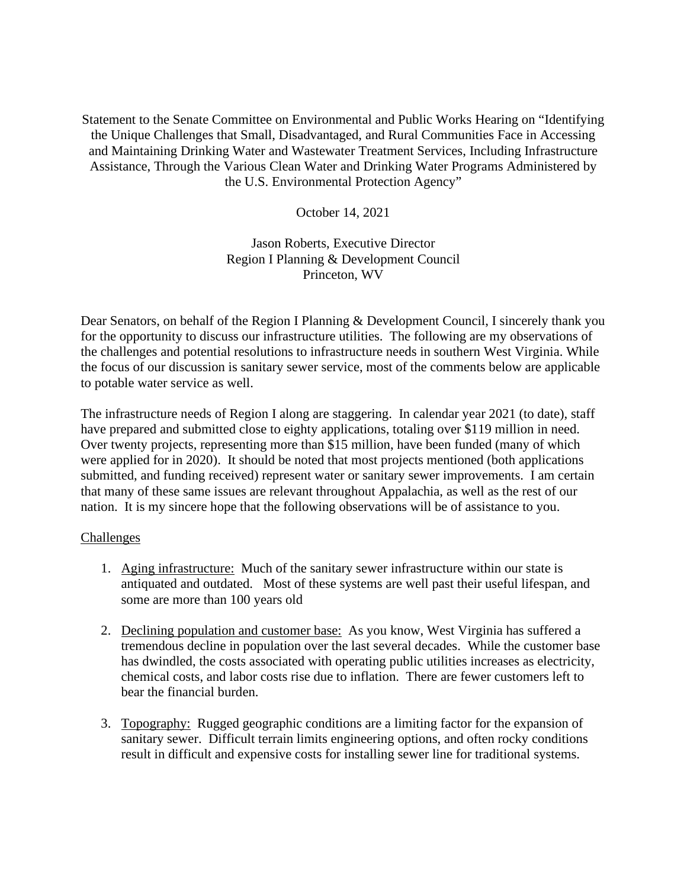Statement to the Senate Committee on Environmental and Public Works Hearing on "Identifying the Unique Challenges that Small, Disadvantaged, and Rural Communities Face in Accessing and Maintaining Drinking Water and Wastewater Treatment Services, Including Infrastructure Assistance, Through the Various Clean Water and Drinking Water Programs Administered by the U.S. Environmental Protection Agency"

October 14, 2021

Jason Roberts, Executive Director Region I Planning & Development Council Princeton, WV

Dear Senators, on behalf of the Region I Planning & Development Council, I sincerely thank you for the opportunity to discuss our infrastructure utilities. The following are my observations of the challenges and potential resolutions to infrastructure needs in southern West Virginia. While the focus of our discussion is sanitary sewer service, most of the comments below are applicable to potable water service as well.

The infrastructure needs of Region I along are staggering. In calendar year 2021 (to date), staff have prepared and submitted close to eighty applications, totaling over \$119 million in need. Over twenty projects, representing more than \$15 million, have been funded (many of which were applied for in 2020). It should be noted that most projects mentioned (both applications submitted, and funding received) represent water or sanitary sewer improvements. I am certain that many of these same issues are relevant throughout Appalachia, as well as the rest of our nation. It is my sincere hope that the following observations will be of assistance to you.

## Challenges

- 1. Aging infrastructure: Much of the sanitary sewer infrastructure within our state is antiquated and outdated. Most of these systems are well past their useful lifespan, and some are more than 100 years old
- 2. Declining population and customer base: As you know, West Virginia has suffered a tremendous decline in population over the last several decades. While the customer base has dwindled, the costs associated with operating public utilities increases as electricity, chemical costs, and labor costs rise due to inflation. There are fewer customers left to bear the financial burden.
- 3. Topography: Rugged geographic conditions are a limiting factor for the expansion of sanitary sewer. Difficult terrain limits engineering options, and often rocky conditions result in difficult and expensive costs for installing sewer line for traditional systems.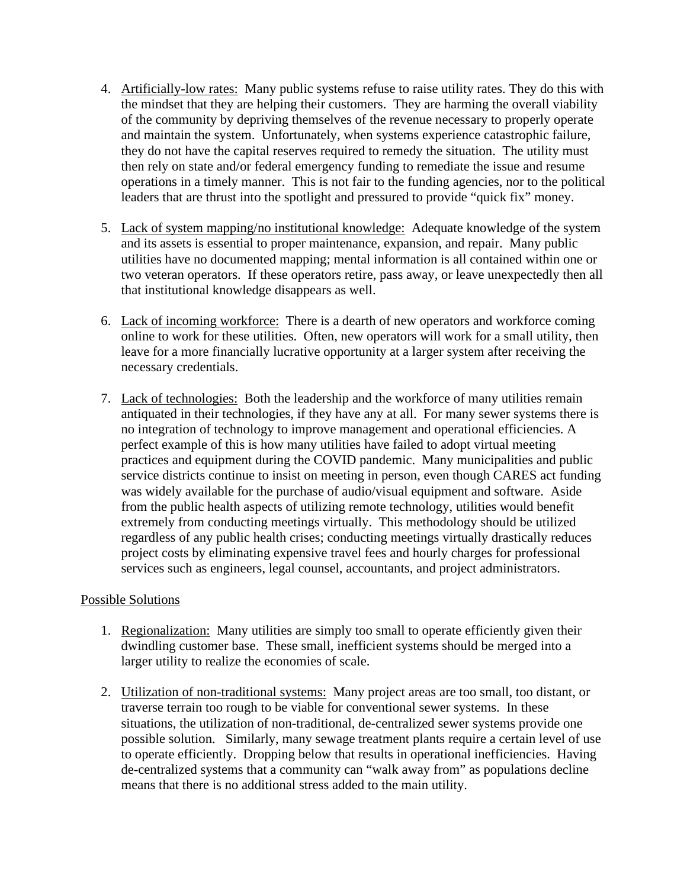- 4. Artificially-low rates: Many public systems refuse to raise utility rates. They do this with the mindset that they are helping their customers. They are harming the overall viability of the community by depriving themselves of the revenue necessary to properly operate and maintain the system. Unfortunately, when systems experience catastrophic failure, they do not have the capital reserves required to remedy the situation. The utility must then rely on state and/or federal emergency funding to remediate the issue and resume operations in a timely manner. This is not fair to the funding agencies, nor to the political leaders that are thrust into the spotlight and pressured to provide "quick fix" money.
- 5. Lack of system mapping/no institutional knowledge: Adequate knowledge of the system and its assets is essential to proper maintenance, expansion, and repair. Many public utilities have no documented mapping; mental information is all contained within one or two veteran operators. If these operators retire, pass away, or leave unexpectedly then all that institutional knowledge disappears as well.
- 6. Lack of incoming workforce: There is a dearth of new operators and workforce coming online to work for these utilities. Often, new operators will work for a small utility, then leave for a more financially lucrative opportunity at a larger system after receiving the necessary credentials.
- 7. Lack of technologies: Both the leadership and the workforce of many utilities remain antiquated in their technologies, if they have any at all. For many sewer systems there is no integration of technology to improve management and operational efficiencies. A perfect example of this is how many utilities have failed to adopt virtual meeting practices and equipment during the COVID pandemic. Many municipalities and public service districts continue to insist on meeting in person, even though CARES act funding was widely available for the purchase of audio/visual equipment and software. Aside from the public health aspects of utilizing remote technology, utilities would benefit extremely from conducting meetings virtually. This methodology should be utilized regardless of any public health crises; conducting meetings virtually drastically reduces project costs by eliminating expensive travel fees and hourly charges for professional services such as engineers, legal counsel, accountants, and project administrators.

## Possible Solutions

- 1. Regionalization: Many utilities are simply too small to operate efficiently given their dwindling customer base. These small, inefficient systems should be merged into a larger utility to realize the economies of scale.
- 2. Utilization of non-traditional systems: Many project areas are too small, too distant, or traverse terrain too rough to be viable for conventional sewer systems. In these situations, the utilization of non-traditional, de-centralized sewer systems provide one possible solution. Similarly, many sewage treatment plants require a certain level of use to operate efficiently. Dropping below that results in operational inefficiencies. Having de-centralized systems that a community can "walk away from" as populations decline means that there is no additional stress added to the main utility.